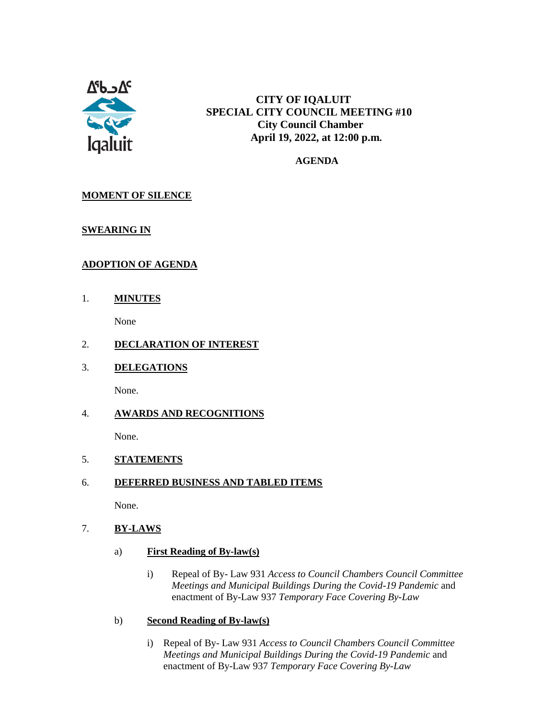

# **CITY OF IQALUIT SPECIAL CITY COUNCIL MEETING #10 City Council Chamber April 19, 2022, at 12:00 p.m.**

 **AGENDA**

# **MOMENT OF SILENCE**

### **SWEARING IN**

# **ADOPTION OF AGENDA**

1. **MINUTES**

None

### 2. **DECLARATION OF INTEREST**

3. **DELEGATIONS**

None.

### 4. **AWARDS AND RECOGNITIONS**

None.

### 5. **STATEMENTS**

### 6. **DEFERRED BUSINESS AND TABLED ITEMS**

None.

#### 7. **BY-LAWS**

- a) **First Reading of By-law(s)**
	- i) Repeal of By- Law 931 *Access to Council Chambers Council Committee Meetings and Municipal Buildings During the Covid-19 Pandemic* and enactment of By-Law 937 *Temporary Face Covering By-Law*
- b) **Second Reading of By-law(s)**
	- i) Repeal of By- Law 931 *Access to Council Chambers Council Committee Meetings and Municipal Buildings During the Covid-19 Pandemic* and enactment of By-Law 937 *Temporary Face Covering By-Law*